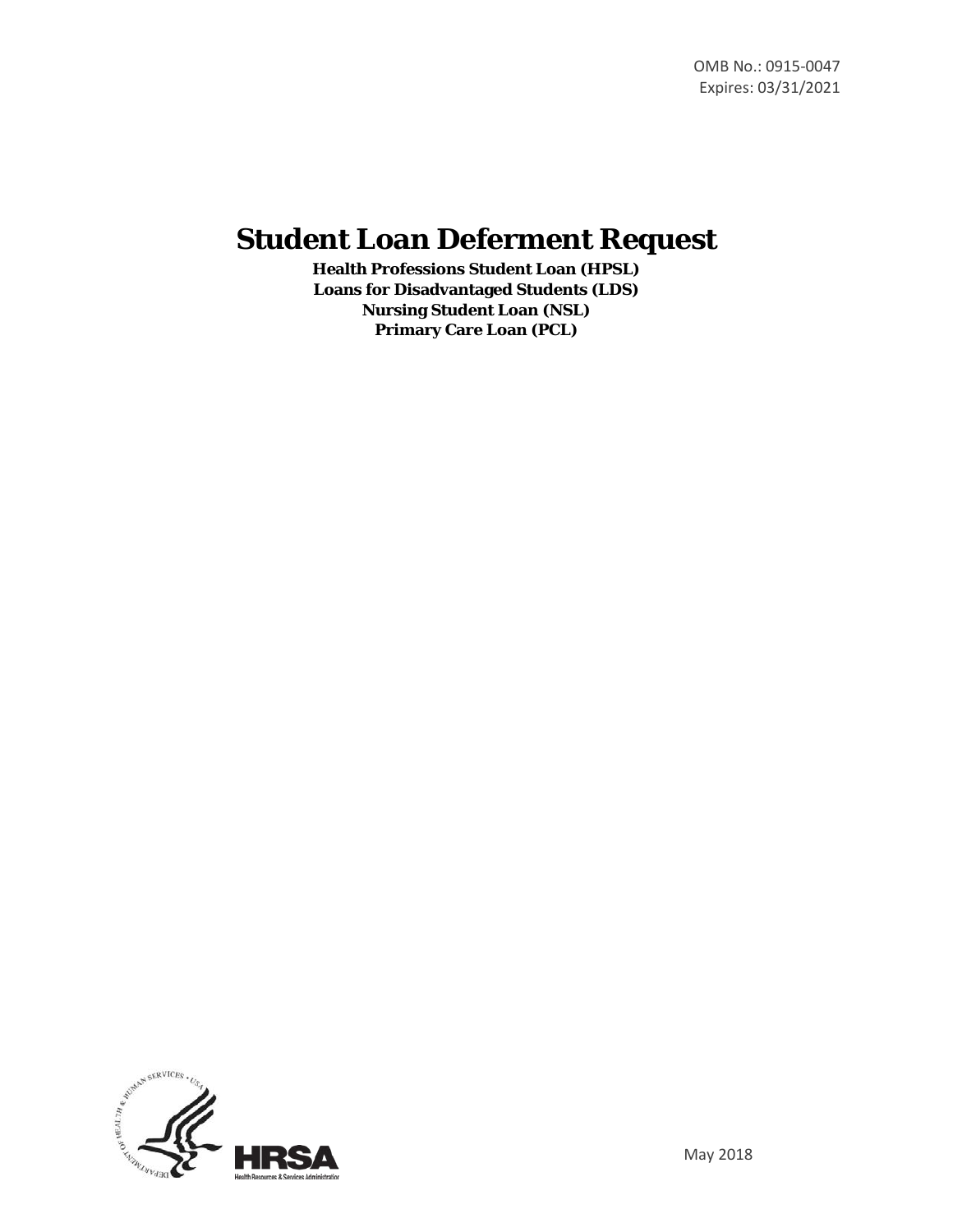# **Student Loan Deferment Request**

**Health Professions Student Loan (HPSL) Loans for Disadvantaged Students (LDS) Nursing Student Loan (NSL) Primary Care Loan (PCL)** 

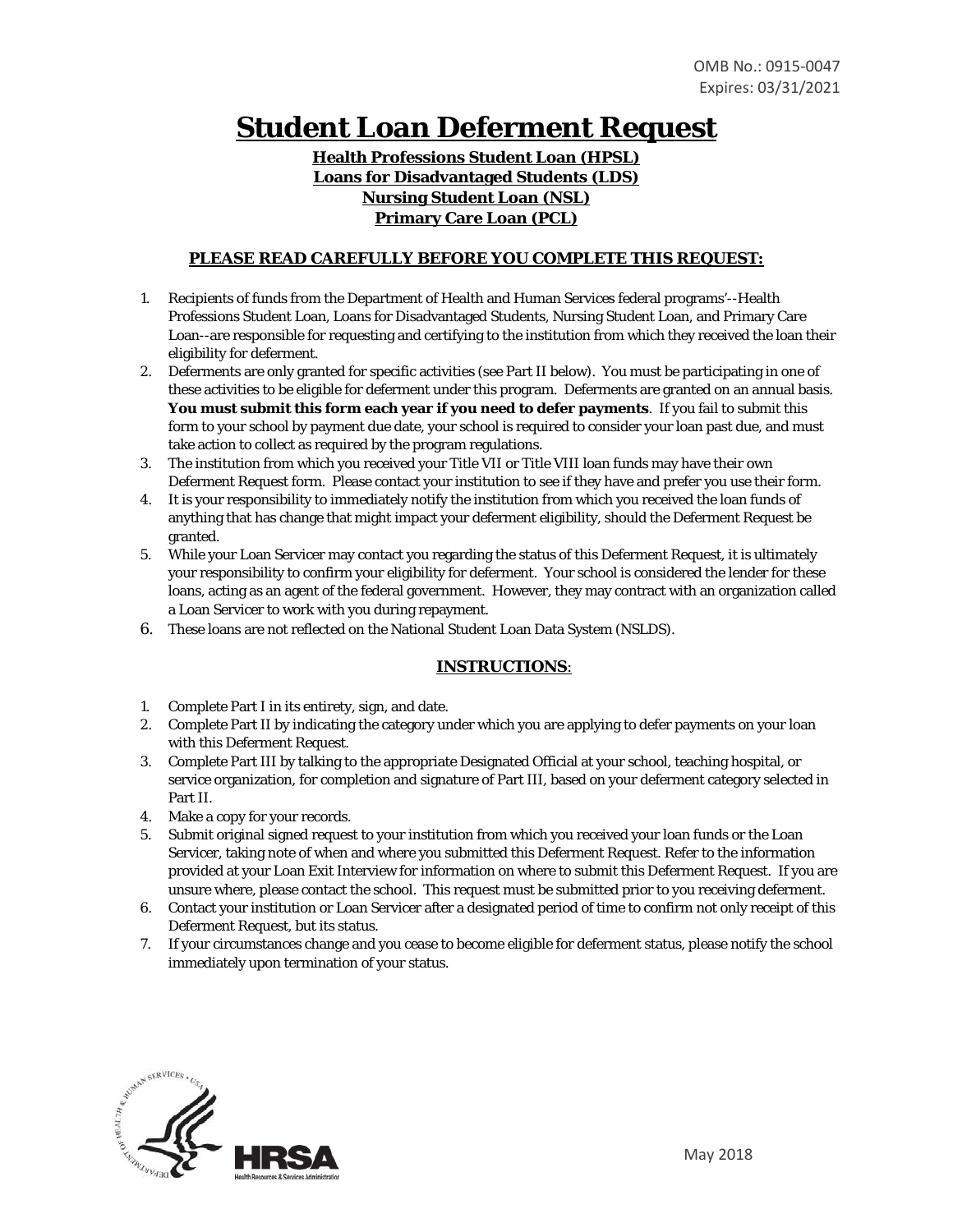# Student Loan Deferment Request<br>
Health Professions Student Loan (HPSL)<br>
Loans for Disadvantaged Students (LDS)

# **Health Professions Student Loan (HPSL) Loans for Disadvantaged Students (LDS) Nursing Student Loan (NSL) Primary Care Loan (PCL)**

### **PLEASE READ CAREFULLY BEFORE YOU COMPLETE THIS REQUEST:**

- 1. Recipients of funds from the Department of Health and Human Services federal programs'--Health Professions Student Loan, Loans for Disadvantaged Students, Nursing Student Loan, and Primary Care Loan--are responsible for requesting and certifying to the institution from which they received the loan their eligibility for deferment.
- 2. Deferments are only granted for specific activities (see Part II below). You must be participating in one of these activities to be eligible for deferment under this program. Deferments are granted on an annual basis. **You must submit this form each year if you need to defer payments**. If you fail to submit this form to your school by payment due date, your school is required to consider your loan past due, and must take action to collect as required by the program regulations.
- 3. The institution from which you received your Title VII or Title VIII loan funds may have their own Deferment Request form. Please contact your institution to see if they have and prefer you use their form.
- 4. It is your responsibility to immediately notify the institution from which you received the loan funds of anything that has change that might impact your deferment eligibility, should the Deferment Request be granted.
- 5. While your Loan Servicer may contact you regarding the status of this Deferment Request, it is ultimately your responsibility to confirm your eligibility for deferment. Your school is considered the lender for these loans, acting as an agent of the federal government. However, they may contract with an organization called a Loan Servicer to work with you during repayment.
- 6. These loans are not reflected on the National Student Loan Data System (NSLDS).

# **INSTRUCTIONS**:

- 1. Complete Part I in its entirety, sign, and date.
- 2. Complete Part II by indicating the category under which you are applying to defer payments on your loan with this Deferment Request.
- 3. Complete Part III by talking to the appropriate Designated Official at your school, teaching hospital, or service organization, for completion and signature of Part III, based on your deferment category selected in Part II.
- 4. Make a copy for your records.
- unsure where, please contact the school. This request must be submitted prior to you receiving deferment. 5. Submit original signed request to your institution from which you received your loan funds or the Loan Servicer, taking note of when and where you submitted this Deferment Request. Refer to the information provided at your Loan Exit Interview for information on where to submit this Deferment Request. If you are
- 6. Contact your institution or Loan Servicer after a designated period of time to confirm not only receipt of this Deferment Request, but its status.
- 7. If your circumstances change and you cease to become eligible for deferment status, please notify the school immediately upon termination of your status.

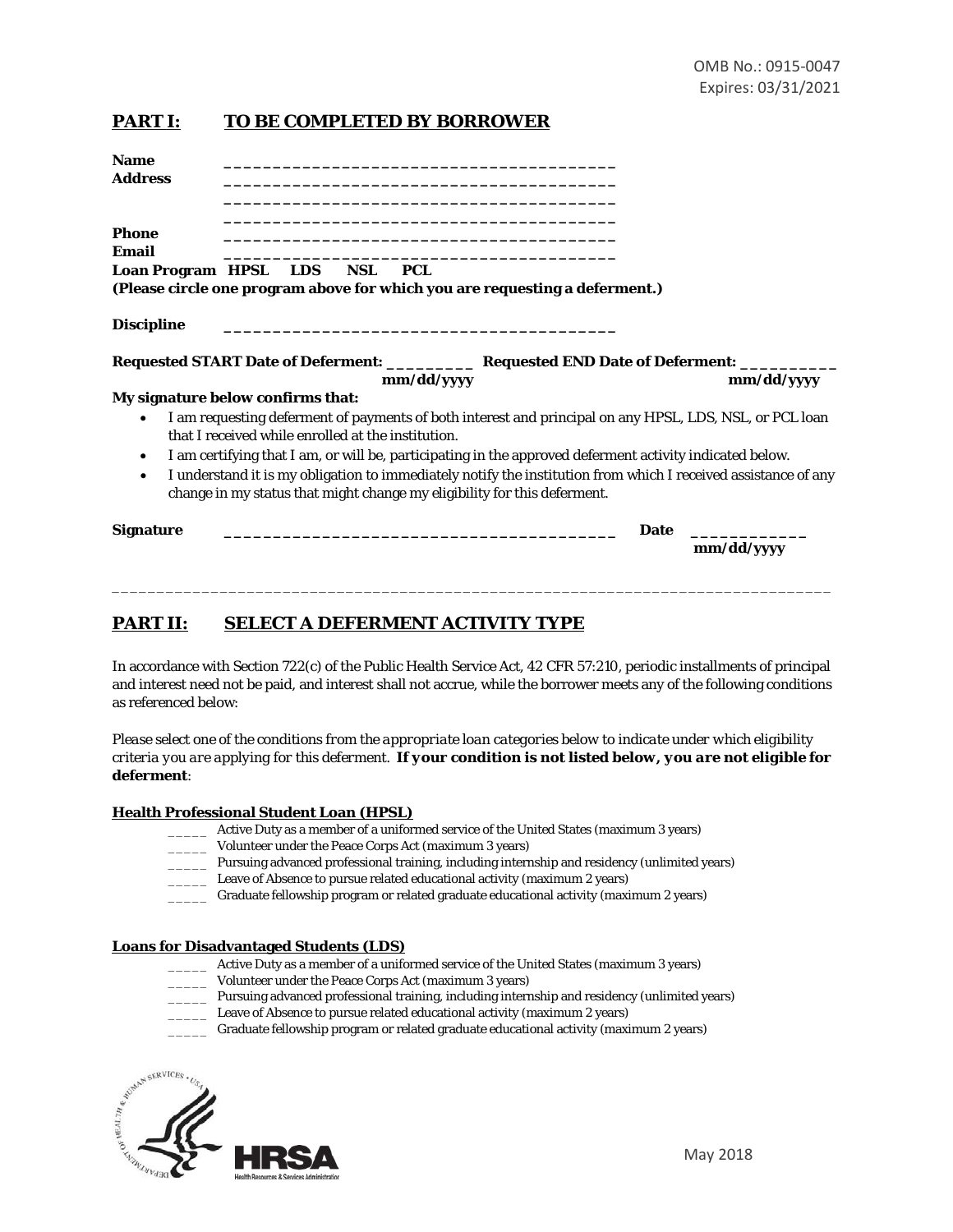# **PART I: TO BE COMPLETED BY BORROWER**

| <b>Name</b><br><b>Address</b> |                                                                                                                                                                                            |             |
|-------------------------------|--------------------------------------------------------------------------------------------------------------------------------------------------------------------------------------------|-------------|
| <b>Phone</b><br>Email         | <u> 1980 - John Stein, Amerikaansk politiker († 1908)</u><br>Loan Program HPSL LDS NSL PCL<br>(Please circle one program above for which you are requesting a deferment.)                  |             |
| <b>Discipline</b>             |                                                                                                                                                                                            |             |
|                               | Requested START Date of Deferment: _____________ Requested END Date of Deferment: ___________                                                                                              |             |
|                               | mm/dd/vyyy                                                                                                                                                                                 | mm/dd/vyyy  |
|                               | My signature below confirms that:                                                                                                                                                          |             |
|                               | I am requesting deferment of payments of both interest and principal on any HPSL, LDS, NSL, or PCL loan<br>that I received while enrolled at the institution.                              |             |
| ٠                             | I am certifying that I am, or will be, participating in the approved deferment activity indicated below.                                                                                   |             |
| $\bullet$                     | I understand it is my obligation to immediately notify the institution from which I received assistance of any<br>change in my status that might change my eligibility for this deferment. |             |
| <b>Signature</b>              |                                                                                                                                                                                            | <b>Date</b> |
|                               |                                                                                                                                                                                            | mm/dd/yyyy  |

# **PART II: SELECT A DEFERMENT ACTIVITY TYPE**

In accordance with Section 722(c) of the Public Health Service Act, 42 CFR 57:210, periodic installments of principal and interest need not be paid, and interest shall not accrue, while the borrower meets any of the following conditions as referenced below:

\_\_\_\_\_\_\_\_\_\_\_\_\_\_\_\_\_\_\_\_\_\_\_\_\_\_\_\_\_\_\_\_\_\_\_\_\_\_\_\_\_\_\_\_\_\_\_\_\_\_\_\_\_\_\_\_\_\_\_\_\_\_\_\_\_\_\_\_\_\_\_\_\_\_\_\_\_\_\_\_

*Please select one of the conditions from the appropriate loan categories below to indicate under which eligibility criteria you are applying for this deferment. If your condition is not listed below, you are not eligible for deferment:* 

#### **Health Professional Student Loan (HPSL)**

- Active Duty as a member of a uniformed service of the United States (maximum 3 years)
- Volunteer under the Peace Corps Act (maximum 3 years)
- \_\_\_\_\_ Pursuing advanced professional training, including internship and residency (unlimited years)
- Leave of Absence to pursue related educational activity (maximum 2 years)
- Graduate fellowship program or related graduate educational activity (maximum 2 years)

#### **Loans for Disadvantaged Students (LDS)**

- Active Duty as a member of a uniformed service of the United States (maximum 3 years)
- Volunteer under the Peace Corps Act (maximum 3 years)
- \_\_\_\_\_ Pursuing advanced professional training, including internship and residency (unlimited years)
	- Leave of Absence to pursue related educational activity (maximum 2 years)
- Graduate fellowship program or related graduate educational activity (maximum 2 years)

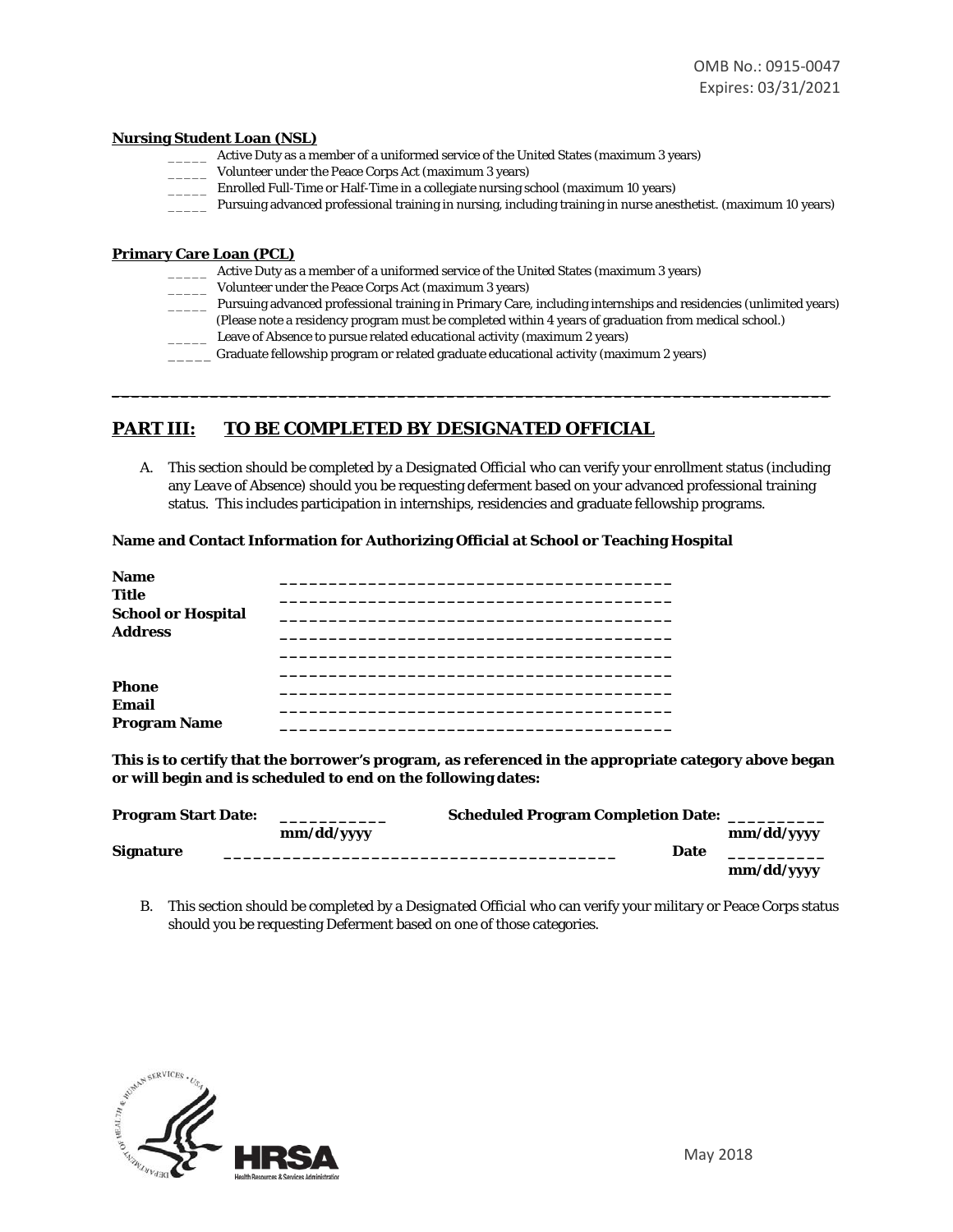#### **Nursing Student Loan (NSL)**

- Active Duty as a member of a uniformed service of the United States (maximum 3 years)
- Volunteer under the Peace Corps Act (maximum 3 years)
	- \_\_\_\_\_ Enrolled Full-Time or Half-Time in a collegiate nursing school (maximum 10 years)
- \_\_\_\_\_ Pursuing advanced professional training in nursing, including training in nurse anesthetist. (maximum 10 years)

#### **Primary Care Loan (PCL)**

- \_\_\_\_\_ Active Duty as a member of a uniformed service of the United States (maximum 3 years)
- Volunteer under the Peace Corps Act (maximum 3 years)
- \_\_\_\_\_ Pursuing advanced professional training in Primary Care, including internships and residencies (unlimited years) (Please note a residency program must be completed within 4 years of graduation from medical school.)
- 
- \_\_Leave of Absence to pursue related educational activity (maximum 2 years)<br>\_\_Graduate fellowship program or related graduate educational activity (maximum 2 years)

#### **PART III: TO BE COMPLETED BY DESIGNATED OFFICIAL**

A. This section should be completed by a *Designated Official* who can verify your enrollment status (including any *Leave of Absence*) should you be requesting deferment based on your advanced professional training status. This includes participation in internships, residencies and graduate fellowship programs.

**\_\_\_\_\_\_\_\_\_\_\_\_\_\_\_\_\_\_\_\_\_\_\_\_\_\_\_\_\_\_\_\_\_\_\_\_\_\_\_\_\_\_\_\_\_\_\_\_\_\_\_\_\_\_\_\_\_\_\_\_\_\_\_\_\_\_\_\_\_\_\_\_\_** 

#### **Name and Contact Information for Authorizing Official at School or Teaching Hospital**

| <b>Name</b><br><b>Title</b><br><b>School or Hospital</b><br><b>Address</b> |  |
|----------------------------------------------------------------------------|--|
| <b>Phone</b><br><b>Email</b><br><b>Program Name</b>                        |  |

 **This is to certify that the borrower's program, as referenced in the appropriate category above began or will begin and is scheduled to end on the following dates:** 

| <b>Program Start Date:</b> |            | <b>Scheduled Program Completion Date:</b> |             |            |
|----------------------------|------------|-------------------------------------------|-------------|------------|
|                            | mm/dd/yyyy |                                           |             | mm/dd/yyyy |
| <b>Signature</b>           |            |                                           | <b>Date</b> |            |
|                            |            |                                           |             | mm/dd/yyyy |

B. This section should be completed by a *Designated Official* who can verify your military or Peace Corps status should you be requesting Deferment based on one of those categories.

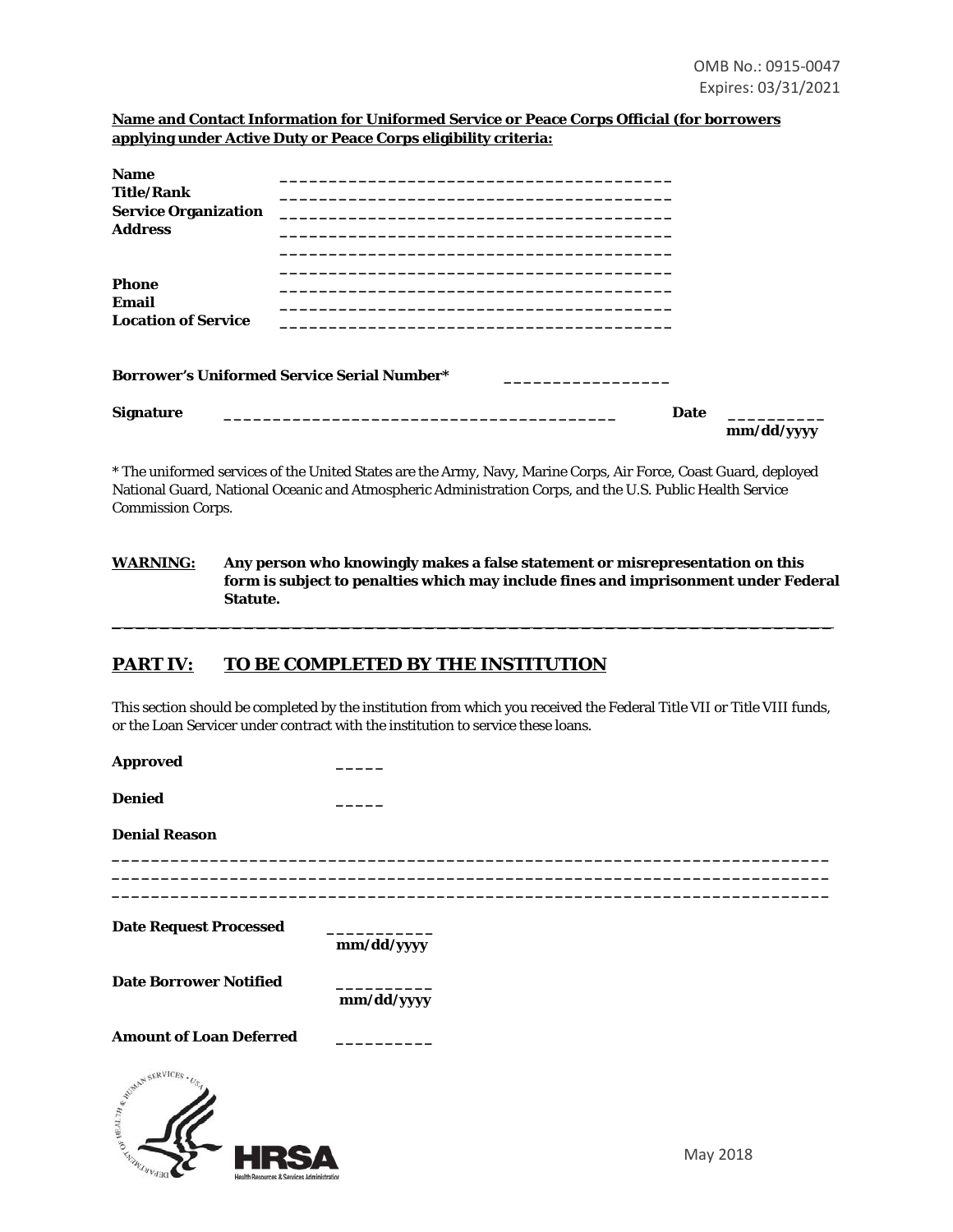#### **Name and Contact Information for Uniformed Service or Peace Corps Official (for borrowers applying under Active Duty or Peace Corps eligibility criteria:**

| <b>Name</b><br>__________________________<br>Title/Rank                                                                                            |             |            |
|----------------------------------------------------------------------------------------------------------------------------------------------------|-------------|------------|
| <b>Service Organization</b>                                                                                                                        |             |            |
| <b>Address</b>                                                                                                                                     |             |            |
|                                                                                                                                                    |             |            |
| <b>Phone</b>                                                                                                                                       |             |            |
| Email                                                                                                                                              |             |            |
| <b>Location of Service</b><br><u> 1990 - Johann John Harry Harry Harry Harry Harry Harry Harry Harry Harry Harry Harry Harry Harry Harry Harry</u> |             |            |
|                                                                                                                                                    |             |            |
| <b>Borrower's Uniformed Service Serial Number*</b>                                                                                                 |             |            |
| <b>Signature</b><br><u> 1999 - Johann John Harry, mars and deutscher Schwarzer und der Schwarzer und der Schwarzer und der Schwarzer</u>           | <b>Date</b> |            |
|                                                                                                                                                    |             | mm/dd/yyyy |

\* The uniformed services of the United States are the Army, Navy, Marine Corps, Air Force, Coast Guard, deployed National Guard, National Oceanic and Atmospheric Administration Corps, and the U.S. Public Health Service Commission Corps.

**WARNING: Any person who knowingly makes a false statement or misrepresentation on this form is subject to penalties which may include fines and imprisonment under Federal Statute.** 

**\_\_\_\_\_\_\_\_\_\_\_\_\_\_\_\_\_\_\_\_\_\_\_\_\_\_\_\_\_\_\_\_\_\_\_\_\_\_\_\_\_\_\_\_\_\_\_\_\_\_\_\_\_\_\_\_\_\_\_\_** 

# **PART IV: TO BE COMPLETED BY THE INSTITUTION**

This section should be completed by the institution from which you received the Federal Title VII or Title VIII funds, or the Loan Servicer under contract with the institution to service these loans.

| <b>Approved</b>                                                                                                                 |            |          |
|---------------------------------------------------------------------------------------------------------------------------------|------------|----------|
| <b>Denied</b>                                                                                                                   |            |          |
| <b>Denial Reason</b>                                                                                                            |            |          |
| <b>Date Request Processed</b>                                                                                                   | mm/dd/yyyy |          |
| <b>Date Borrower Notified</b>                                                                                                   | mm/dd/yyyy |          |
| <b>Amount of Loan Deferred</b>                                                                                                  |            |          |
| Y OF HEAL IT & MARY SEP<br>$\mathcal{U}_{\mathcal{W}_{\text{V}}\text{d}\text{H}}$<br>Health Resources & Services Administration |            | May 2018 |